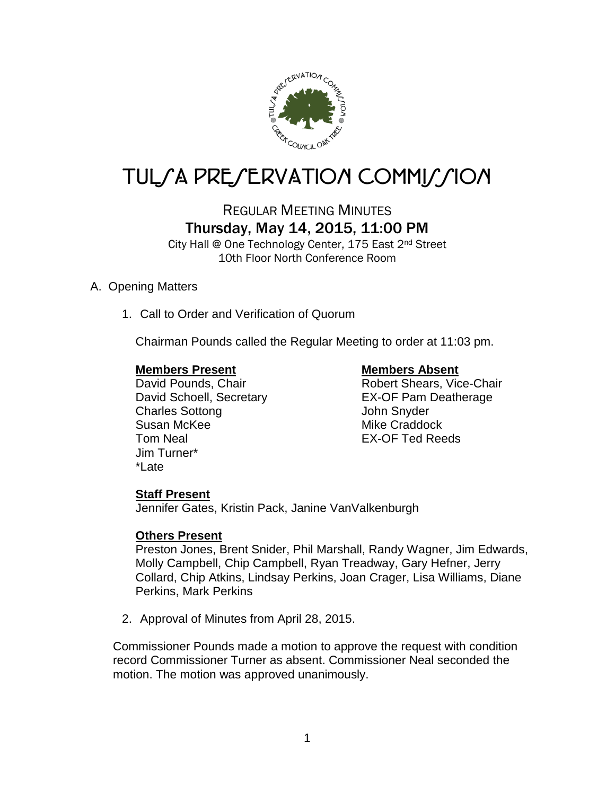

# TUL*SA PRESERVATION COMMISSION*

## REGULAR MEETING MINUTES Thursday, May 14, 2015, 11:00 PM

City Hall @ One Technology Center, 175 East 2nd Street 10th Floor North Conference Room

## A. Opening Matters

1. Call to Order and Verification of Quorum

Chairman Pounds called the Regular Meeting to order at 11:03 pm.

## **Members Present Members Absent**

David Schoell, Secretary EX-OF Pam Deatherage Charles Sottong **Charles** Sottong **John Snyder** Susan McKee Mike Craddock Tom Neal EX-OF Ted Reeds Jim Turner\* \*Late

David Pounds, Chair **National Control Chair** Robert Shears, Vice-Chair

## **Staff Present**

Jennifer Gates, Kristin Pack, Janine VanValkenburgh

## **Others Present**

Preston Jones, Brent Snider, Phil Marshall, Randy Wagner, Jim Edwards, Molly Campbell, Chip Campbell, Ryan Treadway, Gary Hefner, Jerry Collard, Chip Atkins, Lindsay Perkins, Joan Crager, Lisa Williams, Diane Perkins, Mark Perkins

2. Approval of Minutes from April 28, 2015.

Commissioner Pounds made a motion to approve the request with condition record Commissioner Turner as absent. Commissioner Neal seconded the motion. The motion was approved unanimously.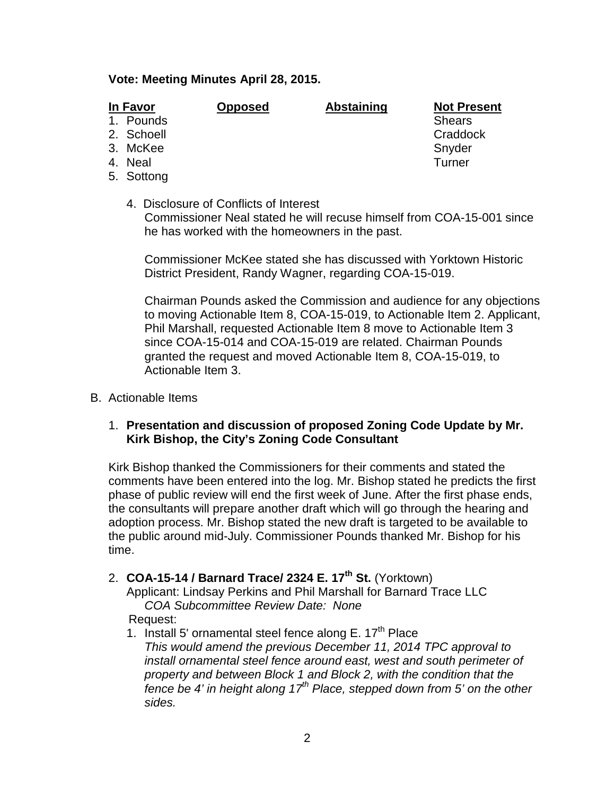## **Vote: Meeting Minutes April 28, 2015.**

| In Favor |            | <b>Opposed</b> | <b>Abstaining</b> | <b>Not Present</b> |  |
|----------|------------|----------------|-------------------|--------------------|--|
|          | 1. Pounds  |                |                   | <b>Shears</b>      |  |
|          | 2. Schoell |                |                   | Craddock           |  |
|          | 3. McKee   |                |                   | Snyder             |  |
|          | 4. Neal    |                |                   | Turner             |  |

- 
- 5. Sottong
	- 4. Disclosure of Conflicts of Interest Commissioner Neal stated he will recuse himself from COA-15-001 since he has worked with the homeowners in the past.

Commissioner McKee stated she has discussed with Yorktown Historic District President, Randy Wagner, regarding COA-15-019.

Chairman Pounds asked the Commission and audience for any objections to moving Actionable Item 8, COA-15-019, to Actionable Item 2. Applicant, Phil Marshall, requested Actionable Item 8 move to Actionable Item 3 since COA-15-014 and COA-15-019 are related. Chairman Pounds granted the request and moved Actionable Item 8, COA-15-019, to Actionable Item 3.

- B. Actionable Items
	- 1. **Presentation and discussion of proposed Zoning Code Update by Mr. Kirk Bishop, the City's Zoning Code Consultant**

Kirk Bishop thanked the Commissioners for their comments and stated the comments have been entered into the log. Mr. Bishop stated he predicts the first phase of public review will end the first week of June. After the first phase ends, the consultants will prepare another draft which will go through the hearing and adoption process. Mr. Bishop stated the new draft is targeted to be available to the public around mid-July. Commissioner Pounds thanked Mr. Bishop for his time.

2. **COA-15-14 / Barnard Trace/ 2324 E. 17th St.** (Yorktown)

Applicant: Lindsay Perkins and Phil Marshall for Barnard Trace LLC *COA Subcommittee Review Date: None*

Request:

- 1. Install 5' ornamental steel fence along  $E. 17<sup>th</sup>$  Place
	- *This would amend the previous December 11, 2014 TPC approval to install ornamental steel fence around east, west and south perimeter of property and between Block 1 and Block 2, with the condition that the fence be 4' in height along 17th Place, stepped down from 5' on the other sides.*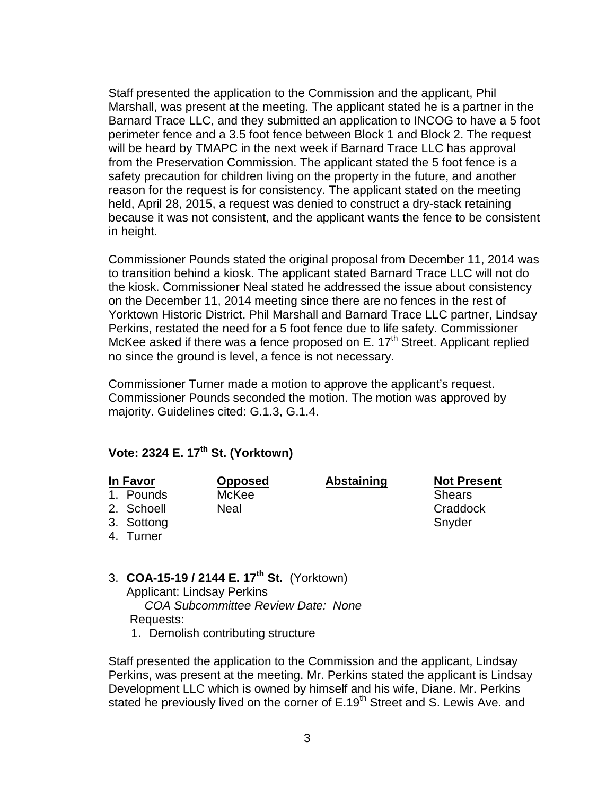Staff presented the application to the Commission and the applicant, Phil Marshall, was present at the meeting. The applicant stated he is a partner in the Barnard Trace LLC, and they submitted an application to INCOG to have a 5 foot perimeter fence and a 3.5 foot fence between Block 1 and Block 2. The request will be heard by TMAPC in the next week if Barnard Trace LLC has approval from the Preservation Commission. The applicant stated the 5 foot fence is a safety precaution for children living on the property in the future, and another reason for the request is for consistency. The applicant stated on the meeting held, April 28, 2015, a request was denied to construct a dry-stack retaining because it was not consistent, and the applicant wants the fence to be consistent in height.

Commissioner Pounds stated the original proposal from December 11, 2014 was to transition behind a kiosk. The applicant stated Barnard Trace LLC will not do the kiosk. Commissioner Neal stated he addressed the issue about consistency on the December 11, 2014 meeting since there are no fences in the rest of Yorktown Historic District. Phil Marshall and Barnard Trace LLC partner, Lindsay Perkins, restated the need for a 5 foot fence due to life safety. Commissioner McKee asked if there was a fence proposed on E.  $17<sup>th</sup>$  Street. Applicant replied no since the ground is level, a fence is not necessary.

Commissioner Turner made a motion to approve the applicant's request. Commissioner Pounds seconded the motion. The motion was approved by majority. Guidelines cited: G.1.3, G.1.4.

## **Vote: 2324 E. 17th St. (Yorktown)**

- 1. Pounds McKee Shears Shears
- 2. Schoell Meal Near Craddock

**In Favor Opposed Abstaining Not Present**

- 3. Sottong Snyder Snyder
- 4. Turner
- 3. **COA-15-19 / 2144 E. 17th St.** (Yorktown) Applicant: Lindsay Perkins *COA Subcommittee Review Date: None* Requests:
	- 1. Demolish contributing structure

Staff presented the application to the Commission and the applicant, Lindsay Perkins, was present at the meeting. Mr. Perkins stated the applicant is Lindsay Development LLC which is owned by himself and his wife, Diane. Mr. Perkins stated he previously lived on the corner of E.19<sup>th</sup> Street and S. Lewis Ave. and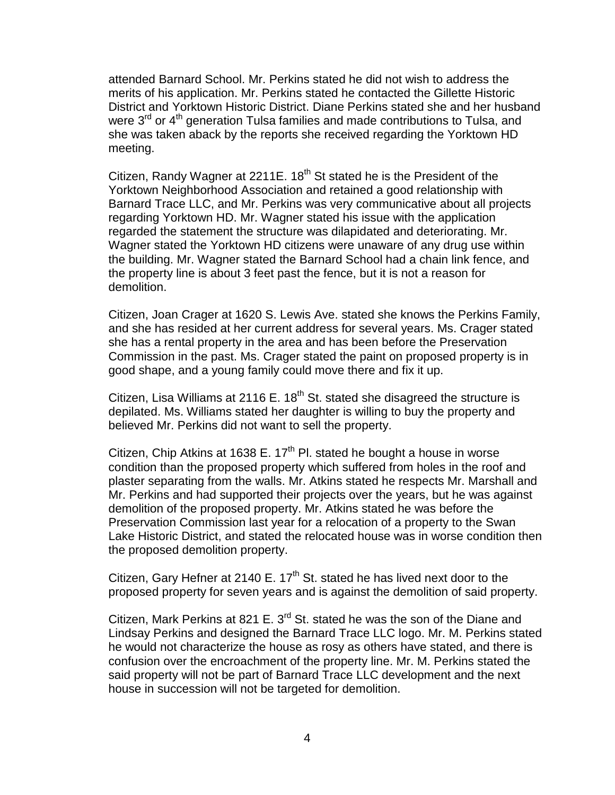attended Barnard School. Mr. Perkins stated he did not wish to address the merits of his application. Mr. Perkins stated he contacted the Gillette Historic District and Yorktown Historic District. Diane Perkins stated she and her husband were  $3^{\text{rd}}$  or  $4^{\text{th}}$  generation Tulsa families and made contributions to Tulsa, and she was taken aback by the reports she received regarding the Yorktown HD meeting.

Citizen, Randy Wagner at 2211E. 18<sup>th</sup> St stated he is the President of the Yorktown Neighborhood Association and retained a good relationship with Barnard Trace LLC, and Mr. Perkins was very communicative about all projects regarding Yorktown HD. Mr. Wagner stated his issue with the application regarded the statement the structure was dilapidated and deteriorating. Mr. Wagner stated the Yorktown HD citizens were unaware of any drug use within the building. Mr. Wagner stated the Barnard School had a chain link fence, and the property line is about 3 feet past the fence, but it is not a reason for demolition.

Citizen, Joan Crager at 1620 S. Lewis Ave. stated she knows the Perkins Family, and she has resided at her current address for several years. Ms. Crager stated she has a rental property in the area and has been before the Preservation Commission in the past. Ms. Crager stated the paint on proposed property is in good shape, and a young family could move there and fix it up.

Citizen, Lisa Williams at 2116 E.  $18<sup>th</sup>$  St. stated she disagreed the structure is depilated. Ms. Williams stated her daughter is willing to buy the property and believed Mr. Perkins did not want to sell the property.

Citizen, Chip Atkins at 1638 E.  $17<sup>th</sup>$  Pl. stated he bought a house in worse condition than the proposed property which suffered from holes in the roof and plaster separating from the walls. Mr. Atkins stated he respects Mr. Marshall and Mr. Perkins and had supported their projects over the years, but he was against demolition of the proposed property. Mr. Atkins stated he was before the Preservation Commission last year for a relocation of a property to the Swan Lake Historic District, and stated the relocated house was in worse condition then the proposed demolition property.

Citizen, Gary Hefner at 2140 E.  $17<sup>th</sup>$  St. stated he has lived next door to the proposed property for seven years and is against the demolition of said property.

Citizen, Mark Perkins at 821 E. 3<sup>rd</sup> St. stated he was the son of the Diane and Lindsay Perkins and designed the Barnard Trace LLC logo. Mr. M. Perkins stated he would not characterize the house as rosy as others have stated, and there is confusion over the encroachment of the property line. Mr. M. Perkins stated the said property will not be part of Barnard Trace LLC development and the next house in succession will not be targeted for demolition.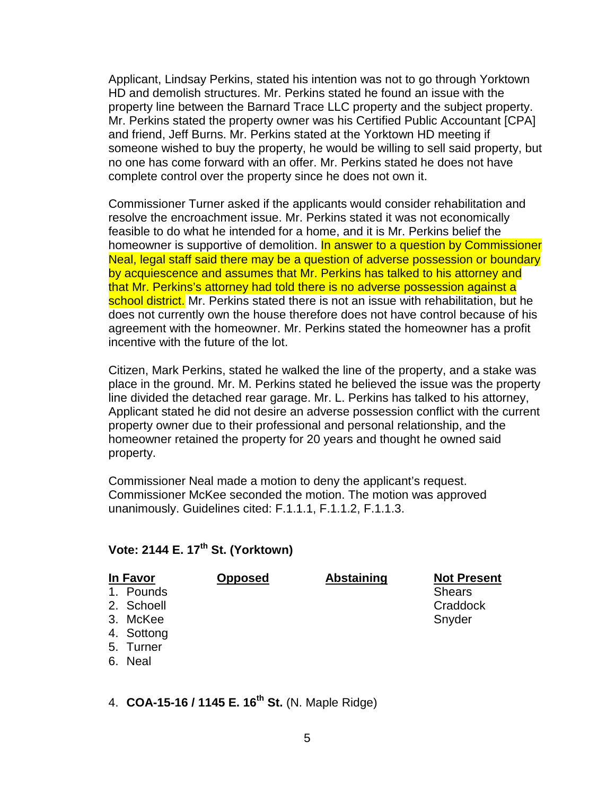Applicant, Lindsay Perkins, stated his intention was not to go through Yorktown HD and demolish structures. Mr. Perkins stated he found an issue with the property line between the Barnard Trace LLC property and the subject property. Mr. Perkins stated the property owner was his Certified Public Accountant [CPA] and friend, Jeff Burns. Mr. Perkins stated at the Yorktown HD meeting if someone wished to buy the property, he would be willing to sell said property, but no one has come forward with an offer. Mr. Perkins stated he does not have complete control over the property since he does not own it.

Commissioner Turner asked if the applicants would consider rehabilitation and resolve the encroachment issue. Mr. Perkins stated it was not economically feasible to do what he intended for a home, and it is Mr. Perkins belief the homeowner is supportive of demolition. In answer to a question by Commissioner Neal, legal staff said there may be a question of adverse possession or boundary by acquiescence and assumes that Mr. Perkins has talked to his attorney and that Mr. Perkins's attorney had told there is no adverse possession against a school district. Mr. Perkins stated there is not an issue with rehabilitation, but he does not currently own the house therefore does not have control because of his agreement with the homeowner. Mr. Perkins stated the homeowner has a profit incentive with the future of the lot.

Citizen, Mark Perkins, stated he walked the line of the property, and a stake was place in the ground. Mr. M. Perkins stated he believed the issue was the property line divided the detached rear garage. Mr. L. Perkins has talked to his attorney, Applicant stated he did not desire an adverse possession conflict with the current property owner due to their professional and personal relationship, and the homeowner retained the property for 20 years and thought he owned said property.

Commissioner Neal made a motion to deny the applicant's request. Commissioner McKee seconded the motion. The motion was approved unanimously. Guidelines cited: F.1.1.1, F.1.1.2, F.1.1.3.

## **Vote: 2144 E. 17th St. (Yorktown)**

| In Favor   | <b>Opposed</b> | <b>Abstaining</b> | <b>Not Present</b> |
|------------|----------------|-------------------|--------------------|
| 1. Pounds  |                |                   | <b>Shears</b>      |
| 2. Schoell |                |                   | Craddock           |
| 3. McKee   |                |                   | Snyder             |
| 4. Sottong |                |                   |                    |
| 5. Turner  |                |                   |                    |

6. Neal

4. **COA-15-16 / 1145 E. 16th St.** (N. Maple Ridge)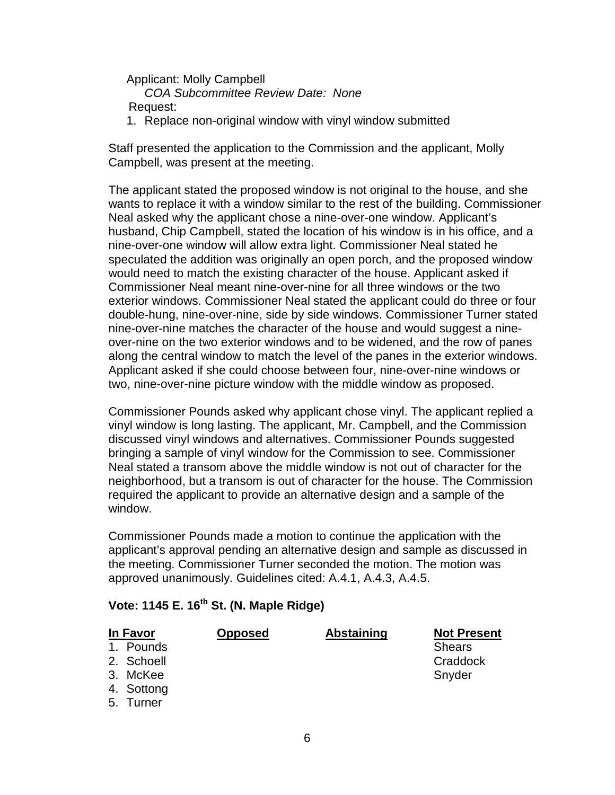Applicant: Molly Campbell *COA Subcommittee Review Date: None* Request:

1. Replace non-original window with vinyl window submitted

Staff presented the application to the Commission and the applicant, Molly Campbell, was present at the meeting.

The applicant stated the proposed window is not original to the house, and she wants to replace it with a window similar to the rest of the building. Commissioner Neal asked why the applicant chose a nine-over-one window. Applicant's husband, Chip Campbell, stated the location of his window is in his office, and a nine-over-one window will allow extra light. Commissioner Neal stated he speculated the addition was originally an open porch, and the proposed window would need to match the existing character of the house. Applicant asked if Commissioner Neal meant nine-over-nine for all three windows or the two exterior windows. Commissioner Neal stated the applicant could do three or four double-hung, nine-over-nine, side by side windows. Commissioner Turner stated nine-over-nine matches the character of the house and would suggest a nineover-nine on the two exterior windows and to be widened, and the row of panes along the central window to match the level of the panes in the exterior windows. Applicant asked if she could choose between four, nine-over-nine windows or two, nine-over-nine picture window with the middle window as proposed.

Commissioner Pounds asked why applicant chose vinyl. The applicant replied a vinyl window is long lasting. The applicant, Mr. Campbell, and the Commission discussed vinyl windows and alternatives. Commissioner Pounds suggested bringing a sample of vinyl window for the Commission to see. Commissioner Neal stated a transom above the middle window is not out of character for the neighborhood, but a transom is out of character for the house. The Commission required the applicant to provide an alternative design and a sample of the window.

Commissioner Pounds made a motion to continue the application with the applicant's approval pending an alternative design and sample as discussed in the meeting. Commissioner Turner seconded the motion. The motion was approved unanimously. Guidelines cited: A.4.1, A.4.3, A.4.5.

|  | $\overline{V}$ ote: 1145 E. 16 St. (N. Maple Ridge) |  |
|--|-----------------------------------------------------|--|
|  |                                                     |  |

## **Vote: 1145 E. 16th St. (N. Maple Ridge)**

## $1.$  Pounds

- 
- 3. McKee Snyder
- 4. Sottong
- 
- 5. Turner

**In Favor Opposed Abstaining Not Present** 2. Schoell Craddock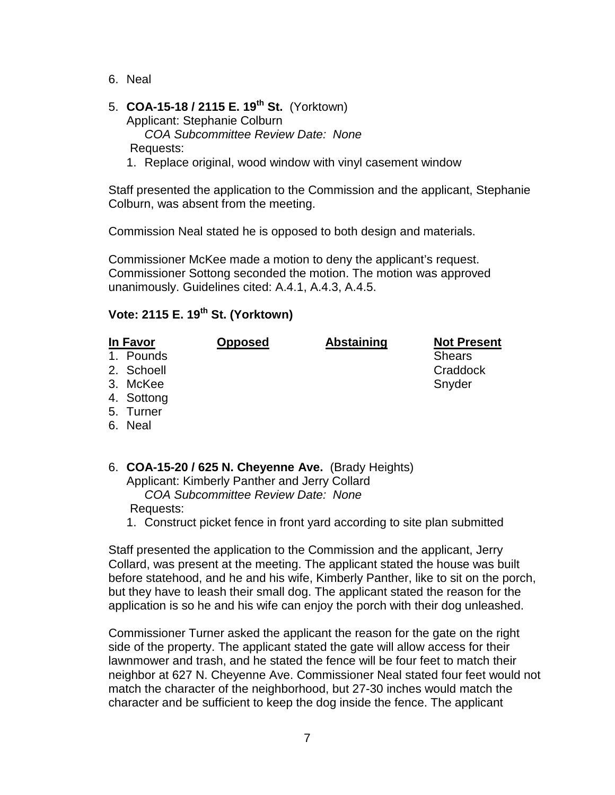6. Neal

### 5. **COA-15-18 / 2115 E. 19th St.** (Yorktown) Applicant: Stephanie Colburn *COA Subcommittee Review Date: None* Requests:

1. Replace original, wood window with vinyl casement window

Staff presented the application to the Commission and the applicant, Stephanie Colburn, was absent from the meeting.

Commission Neal stated he is opposed to both design and materials.

Commissioner McKee made a motion to deny the applicant's request. Commissioner Sottong seconded the motion. The motion was approved unanimously. Guidelines cited: A.4.1, A.4.3, A.4.5.

## **Vote: 2115 E. 19th St. (Yorktown)**

| In Favor |            | <b>Opposed</b> | <b>Abstaining</b> | <b>Not Present</b> |  |
|----------|------------|----------------|-------------------|--------------------|--|
|          | 1. Pounds  |                |                   | <b>Shears</b>      |  |
|          | 2. Schoell |                |                   | Craddock           |  |
|          | 3. McKee   |                |                   | Snyder             |  |
|          | 4. Sottong |                |                   |                    |  |
|          | 5. Turner  |                |                   |                    |  |
|          | 6. Neal    |                |                   |                    |  |

- 6. **COA-15-20 / 625 N. Cheyenne Ave.** (Brady Heights) Applicant: Kimberly Panther and Jerry Collard *COA Subcommittee Review Date: None* Requests:
	- 1. Construct picket fence in front yard according to site plan submitted

Staff presented the application to the Commission and the applicant, Jerry Collard, was present at the meeting. The applicant stated the house was built before statehood, and he and his wife, Kimberly Panther, like to sit on the porch, but they have to leash their small dog. The applicant stated the reason for the application is so he and his wife can enjoy the porch with their dog unleashed.

Commissioner Turner asked the applicant the reason for the gate on the right side of the property. The applicant stated the gate will allow access for their lawnmower and trash, and he stated the fence will be four feet to match their neighbor at 627 N. Cheyenne Ave. Commissioner Neal stated four feet would not match the character of the neighborhood, but 27-30 inches would match the character and be sufficient to keep the dog inside the fence. The applicant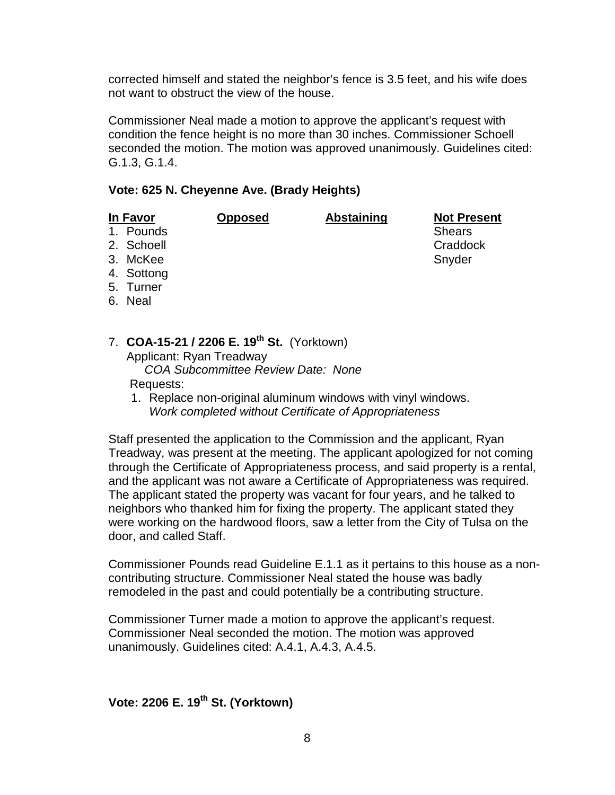corrected himself and stated the neighbor's fence is 3.5 feet, and his wife does not want to obstruct the view of the house.

Commissioner Neal made a motion to approve the applicant's request with condition the fence height is no more than 30 inches. Commissioner Schoell seconded the motion. The motion was approved unanimously. Guidelines cited: G.1.3, G.1.4.

## **Vote: 625 N. Cheyenne Ave. (Brady Heights)**

**In Favor Opposed Abstaining Not Present**

1. Pounds

- 
- 2. Schoell **Craddock** Craddock
- 3. McKee Snyder
- 4. Sottong
- 5. Turner
- 6. Neal
- 7. **COA-15-21 / 2206 E. 19th St.** (Yorktown) Applicant: Ryan Treadway *COA Subcommittee Review Date: None*

## Requests:

1. Replace non-original aluminum windows with vinyl windows. *Work completed without Certificate of Appropriateness*

Staff presented the application to the Commission and the applicant, Ryan Treadway, was present at the meeting. The applicant apologized for not coming through the Certificate of Appropriateness process, and said property is a rental, and the applicant was not aware a Certificate of Appropriateness was required. The applicant stated the property was vacant for four years, and he talked to neighbors who thanked him for fixing the property. The applicant stated they were working on the hardwood floors, saw a letter from the City of Tulsa on the door, and called Staff.

Commissioner Pounds read Guideline E.1.1 as it pertains to this house as a noncontributing structure. Commissioner Neal stated the house was badly remodeled in the past and could potentially be a contributing structure.

Commissioner Turner made a motion to approve the applicant's request. Commissioner Neal seconded the motion. The motion was approved unanimously. Guidelines cited: A.4.1, A.4.3, A.4.5.

**Vote: 2206 E. 19th St. (Yorktown)**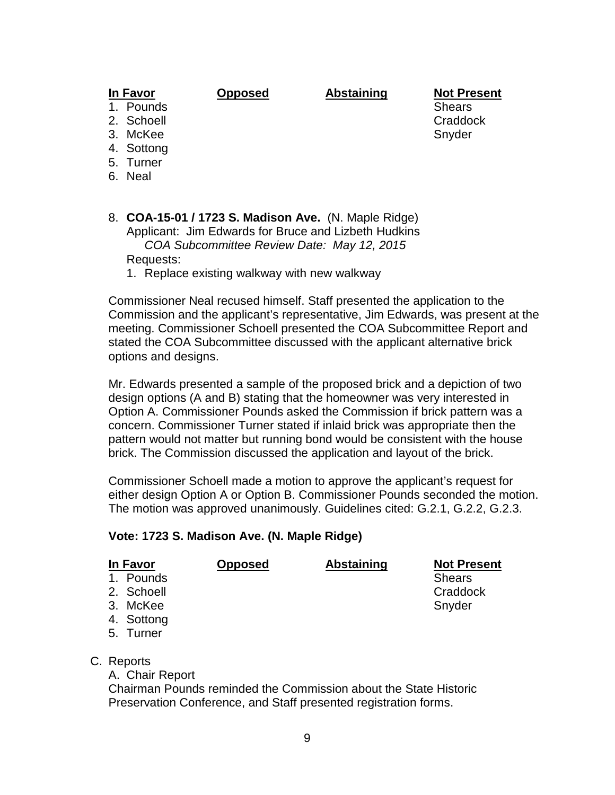# **In Favor Opposed Abstaining Not Present**

- 1. Pounds
- 
- 
- 4. Sottong
- 5. Turner
- 6. Neal
- 8. **COA-15-01 / 1723 S. Madison Ave.** (N. Maple Ridge) Applicant: Jim Edwards for Bruce and Lizbeth Hudkins *COA Subcommittee Review Date: May 12, 2015* Requests:
	- 1. Replace existing walkway with new walkway

Commissioner Neal recused himself. Staff presented the application to the Commission and the applicant's representative, Jim Edwards, was present at the meeting. Commissioner Schoell presented the COA Subcommittee Report and stated the COA Subcommittee discussed with the applicant alternative brick options and designs.

Mr. Edwards presented a sample of the proposed brick and a depiction of two design options (A and B) stating that the homeowner was very interested in Option A. Commissioner Pounds asked the Commission if brick pattern was a concern. Commissioner Turner stated if inlaid brick was appropriate then the pattern would not matter but running bond would be consistent with the house brick. The Commission discussed the application and layout of the brick.

Commissioner Schoell made a motion to approve the applicant's request for either design Option A or Option B. Commissioner Pounds seconded the motion. The motion was approved unanimously. Guidelines cited: G.2.1, G.2.2, G.2.3.

### **Vote: 1723 S. Madison Ave. (N. Maple Ridge)**

| In Favor |            | <b>Opposed</b> | <b>Abstaining</b> | <b>Not Present</b> |
|----------|------------|----------------|-------------------|--------------------|
|          | 1. Pounds  |                |                   | <b>Shears</b>      |
|          | 2. Schoell |                |                   | Craddock           |
|          | 3. McKee   |                |                   | Snyder             |
|          | 4. Sottong |                |                   |                    |
|          | 5. Turner  |                |                   |                    |

- C. Reports
	- A. Chair Report

Chairman Pounds reminded the Commission about the State Historic Preservation Conference, and Staff presented registration forms.

2. Schoell **Craddock** Craddock 3. McKee Snyder